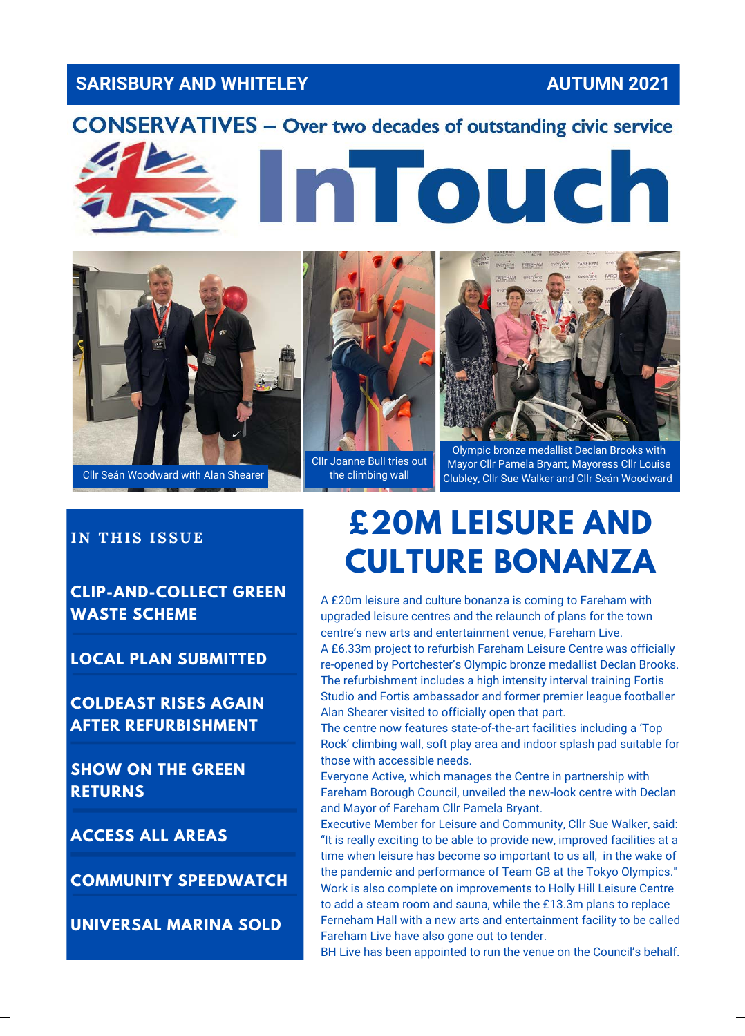#### **SARISBURY AND WHITELEY AUTUMN 2021**





# Cllr Joanne Bull tries out

the climbing wall



Olympic bronze medallist Declan Brooks with Mayor Cllr Pamela Bryant, Mayoress Cllr Louise Cllr Seán Woodward with Alan Shearer **Clubley** the climbing wall Clubley, Cllr Sue Walker and Cllr Seán Woodward

**CLIP-AND-COLLECT GREEN WASTE SCHEME**

**LOCAL PLAN SUBMITTED**

**COLDEAST RISES AGAIN AFTER REFURBISHMENT**

**SHOW ON THE GREEN RETURNS**

**ACCESS ALL AREAS**

**COMMUNITY SPEEDWATCH**

**UNIVERSAL MARINA SOLD**

#### IN THIS ISSUE **E20M LEISURE AND CULTURE BONANZA**

A £20m leisure and culture bonanza is coming to Fareham with upgraded leisure centres and the relaunch of plans for the town centre's new arts and entertainment venue, Fareham Live. A £6.33m project to refurbish Fareham Leisure Centre was officially re-opened by Portchester's Olympic bronze medallist Declan Brooks. The refurbishment includes a high intensity interval training Fortis Studio and Fortis ambassador and former premier league footballer Alan Shearer visited to officially open that part.

The centre now features state-of-the-art facilities including a 'Top Rock' climbing wall, soft play area and indoor splash pad suitable for those with accessible needs.

Everyone Active, which manages the Centre in partnership with Fareham Borough Council, unveiled the new-look centre with Declan and Mayor of Fareham Cllr Pamela Bryant.

Executive Member for Leisure and Community, Cllr Sue Walker, said: "It is really exciting to be able to provide new, improved facilities at a time when leisure has become so important to us all, in the wake of the pandemic and performance of Team GB at the Tokyo Olympics." Work is also complete on improvements to Holly Hill Leisure Centre to add a steam room and sauna, while the £13.3m plans to replace Ferneham Hall with a new arts and entertainment facility to be called Fareham Live have also gone out to tender.

BH Live has been appointed to run the venue on the Council's behalf.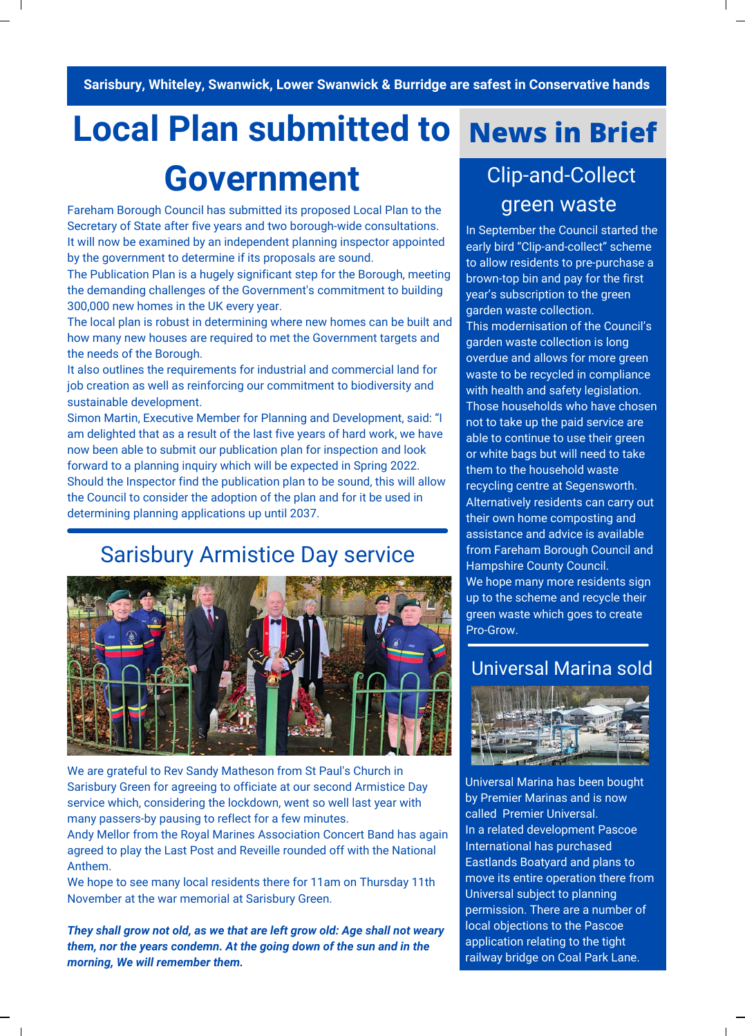Sarisbury, Whiteley, Swanwick, Lower Swanwick & Burridge are safest in Conservative hands

#### **Local Plan submitted to**

### **Government**

Fareham Borough Council has submitted its proposed Local Plan to the Secretary of State after five years and two borough-wide consultations. It will now be examined by an independent planning inspector appointed by the government to determine if its proposals are sound.

The Publication Plan is a hugely significant step for the Borough, meeting the demanding challenges of the Government's commitment to building 300,000 new homes in the UK every year.

The local plan is robust in determining where new homes can be built and how many new houses are required to met the Government targets and the needs of the Borough.

It also outlines the requirements for industrial and commercial land for job creation as well as reinforcing our commitment to biodiversity and sustainable development.

Simon Martin, Executive Member for Planning and Development, said: "I am delighted that as a result of the last five years of hard work, we have now been able to submit our publication plan for inspection and look forward to a planning inquiry which will be expected in Spring 2022. Should the Inspector find the publication plan to be sound, this will allow the Council to consider the adoption of the plan and for it be used in determining planning applications up until 2037.

#### Sarisbury Armistice Day service



We are grateful to Rev Sandy Matheson from St Paul's Church in [Sarisbury Green for agreeing to officiate at our second Armistice](https://www.facebook.com/groups/377336185565/?__cft__%5b0%5d=AZWgP9R3Nq3y1o04qvtL487X1206mlpoCSmynjWCVVSxn9F0ebLfljbesGYGjcmeORQ6h6Ybkrn8lxKa-UAbIAgB7SrRcqlmj1Gkfv-SG1388ZKKWOSuDW9PB5eoQdkotUxhe4wNAhISKIUi64MV6ipuqkrlufJoONdlCJ-g8hsgDHq4IpGDO4iGPpdFSCX6YyY&__tn__=-UK-R) Day service which, considering the lockdown, went so well last year with many passers-by pausing to reflect for a few minutes.

Andy Mellor from the [Royal Marines Association Concert Band](https://www.facebook.com/rmb3645?__cft__%5b0%5d=AZWgP9R3Nq3y1o04qvtL487X1206mlpoCSmynjWCVVSxn9F0ebLfljbesGYGjcmeORQ6h6Ybkrn8lxKa-UAbIAgB7SrRcqlmj1Gkfv-SG1388ZKKWOSuDW9PB5eoQdkotUxhe4wNAhISKIUi64MV6ipuqkrlufJoONdlCJ-g8hsgDHq4IpGDO4iGPpdFSCX6YyY&__tn__=-%5dK-R) has again agreed to play the Last Post and Reveille rounded off with the National Anthem.

We hope to see many local residents there for 11am on Thursday 11th November at the war memorial at Sarisbury Green.

*They shall grow not old, as we that are left grow old: Age shall not weary them, nor the years condemn. At the going down of the sun and in the morning, We will remember them.*

#### **News in Brief**

#### Clip-and-Collect green waste

In September the Council started the early bird "Clip-and-collect" scheme to allow residents to pre-purchase a brown-top bin and pay for the first year's subscription to the green garden waste collection. This modernisation of the Council's garden waste collection is long overdue and allows for more green waste to be recycled in compliance with health and safety legislation. Those households who have chosen not to take up the paid service are able to continue to use their green or white bags but will need to take them to the household waste recycling centre at Segensworth. Alternatively residents can carry out their own home composting and assistance and advice is available from Fareham Borough Council and Hampshire County Council. We hope many more residents sign up to the scheme and recycle their green waste which goes to create Pro-Grow.

#### Universal Marina sold



Universal Marina has been bought by Premier Marinas and is now called Premier Universal. In a related development Pascoe International has purchased Eastlands Boatyard and plans to move its entire operation there from Universal subject to planning permission. There are a number of local objections to the Pascoe application relating to the tight railway bridge on Coal Park Lane.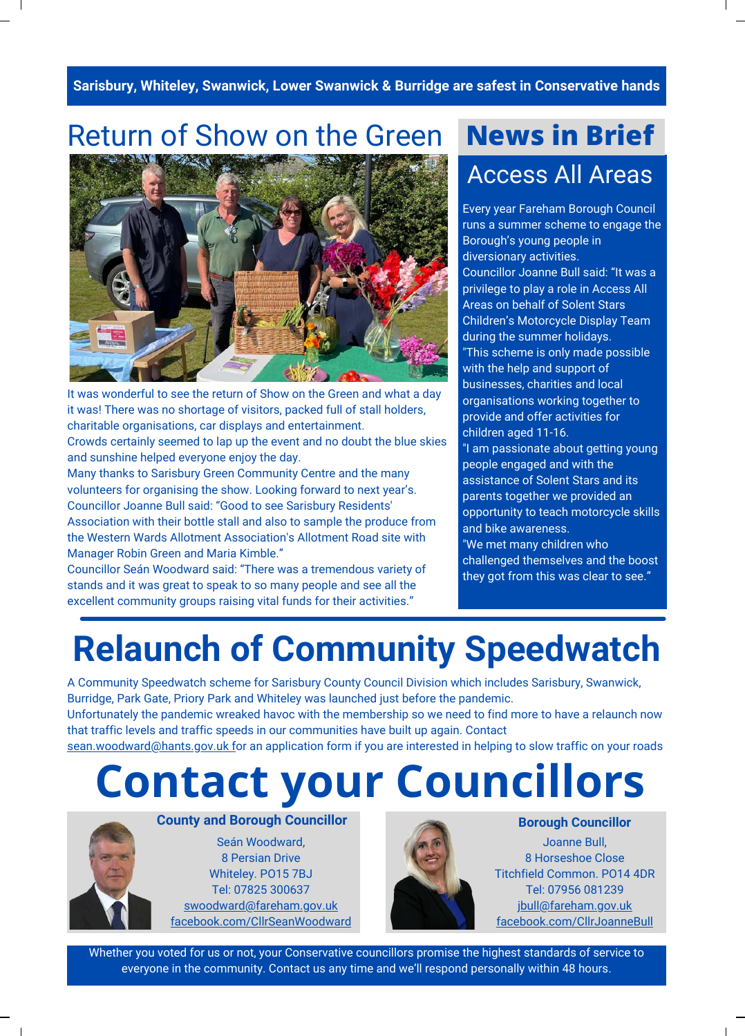Sarisbury, Whiteley, Swanwick, Lower Swanwick & Burridge are safest in Conservative hands **|** 

#### Return of Show on the Green **News in Brief**



It was wonderful to see the return of Show on the Green and what a day it was! There was no shortage of visitors, packed full of stall holders, charitable organisations, car displays and entertainment. Crowds certainly seemed to lap up the event and no doubt the blue skies and sunshine helped everyone enjoy the day.

Many thanks to Sarisbury Green Community Centre and the many volunteers for organising the show. Looking forward to next year's. Councillor Joanne Bull said: "Good to see Sarisbury Residents' Association with their bottle stall and also to sample the produce from the Western Wards Allotment Association's Allotment Road site with Manager Robin Green and [Maria Kimble](https://www.facebook.com/maria.kimble.98?__cft__%5b0%5d=AZXwSo08BBPGL6qqo_JDxnJ18EX7bdXVxgXUAynaxyRVwg76Gp8MK-gWxBI_LQ06w4_pZFJxkiNUSoRk4hKFaCFMoo-4RP-DYfE_TM74rEx8hCl2g60-d3rxeLGsf3dJ5FSysb2cNTTA0ohSrAY-J0S1yNuVRk7kWmT9K2JKZxaSqrKBaR7t4yJdfHeLT35NEck&__tn__=-%5dK-R)."

Councillor Seán Woodward said: "There was a tremendous variety of stands and it was great to speak to so many people and see all the excellent community groups raising vital funds for their activities."

## Access All Areas

Every year Fareham Borough Council runs a summer scheme to engage the Borough's young people in diversionary activities. Councillor Joanne Bull said: "It was a privilege to play a role in Access All Areas on behalf of Solent Stars Children's Motorcycle Display Team during the summer holidays. "This scheme is only made possible with the help and support of businesses, charities and local organisations working together to provide and offer activities for children aged 11-16.

"I am passionate about getting young people engaged and with the assistance of Solent Stars and its parents together we provided an opportunity to teach motorcycle skills and bike awareness.

"We met many children who challenged themselves and the boost they got from this was clear to see."

## **Relaunch of Community Speedwatch**

A Community Speedwatch scheme for Sarisbury County Council Division which includes Sarisbury, Swanwick, Burridge, Park Gate, Priory Park and Whiteley was launched just before the pandemic. Unfortunately the pandemic wreaked havoc with the membership so we need to find more to have a relaunch now

that traffic levels and traffic speeds in our communities have built up again. Contact [sean.woodward@hants.gov.uk f](mailto:sean.woodward@hants.gov.uk)or an application form if you are interested in helping to slow traffic on your roads

## **Contact your Councillors**



Seán Woodward, 8 Persian Drive Whiteley. PO15 7BJ Tel: 07825 300637 [swoodward@fareham.gov.uk](mailto:swoodward@fareham.gov.uk) [facebook.com/CllrSeanWoodward](https://www.facebook.com/CllrSeanWoodward)



Joanne Bull, 8 Horseshoe Close Titchfield Common. PO14 4DR Tel: 07956 081239 [jbull@fareham.gov.uk](mailto:jbull@fareham.gov.uk) [facebook.com/CllrJoanneBull](https://www.facebook.com/CllrJoanneBull/)

Whether you voted for us or not, your Conservative councillors promise the highest standards of service to everyone in the community. Contact us any time and we'll respond personally within 48 hours.